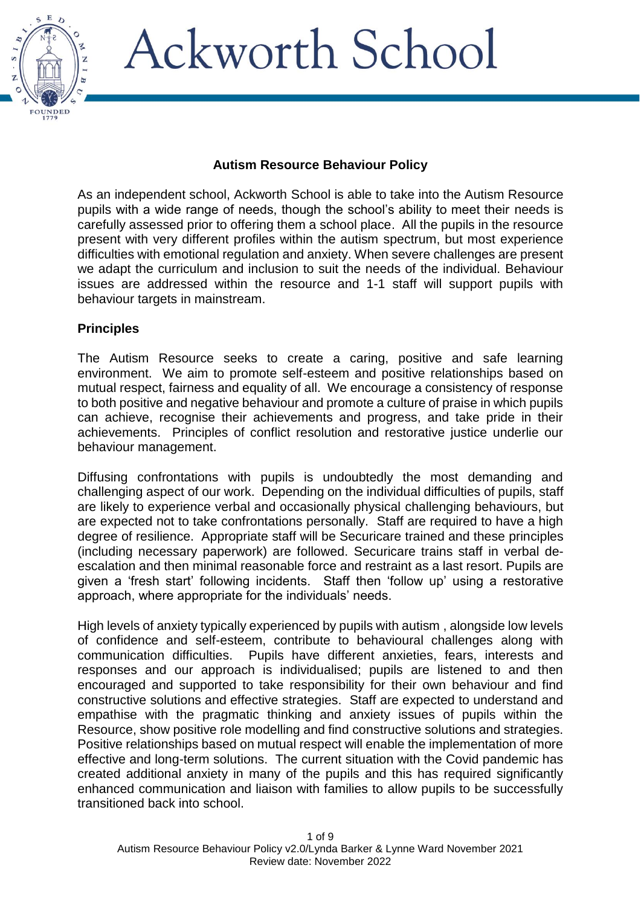

#### **Autism Resource Behaviour Policy**

As an independent school, Ackworth School is able to take into the Autism Resource pupils with a wide range of needs, though the school's ability to meet their needs is carefully assessed prior to offering them a school place. All the pupils in the resource present with very different profiles within the autism spectrum, but most experience difficulties with emotional regulation and anxiety. When severe challenges are present we adapt the curriculum and inclusion to suit the needs of the individual. Behaviour issues are addressed within the resource and 1-1 staff will support pupils with behaviour targets in mainstream.

#### **Principles**

The Autism Resource seeks to create a caring, positive and safe learning environment. We aim to promote self-esteem and positive relationships based on mutual respect, fairness and equality of all. We encourage a consistency of response to both positive and negative behaviour and promote a culture of praise in which pupils can achieve, recognise their achievements and progress, and take pride in their achievements. Principles of conflict resolution and restorative justice underlie our behaviour management.

Diffusing confrontations with pupils is undoubtedly the most demanding and challenging aspect of our work. Depending on the individual difficulties of pupils, staff are likely to experience verbal and occasionally physical challenging behaviours, but are expected not to take confrontations personally. Staff are required to have a high degree of resilience. Appropriate staff will be Securicare trained and these principles (including necessary paperwork) are followed. Securicare trains staff in verbal deescalation and then minimal reasonable force and restraint as a last resort. Pupils are given a 'fresh start' following incidents. Staff then 'follow up' using a restorative approach, where appropriate for the individuals' needs.

High levels of anxiety typically experienced by pupils with autism , alongside low levels of confidence and self-esteem, contribute to behavioural challenges along with communication difficulties. Pupils have different anxieties, fears, interests and responses and our approach is individualised; pupils are listened to and then encouraged and supported to take responsibility for their own behaviour and find constructive solutions and effective strategies. Staff are expected to understand and empathise with the pragmatic thinking and anxiety issues of pupils within the Resource, show positive role modelling and find constructive solutions and strategies. Positive relationships based on mutual respect will enable the implementation of more effective and long-term solutions. The current situation with the Covid pandemic has created additional anxiety in many of the pupils and this has required significantly enhanced communication and liaison with families to allow pupils to be successfully transitioned back into school.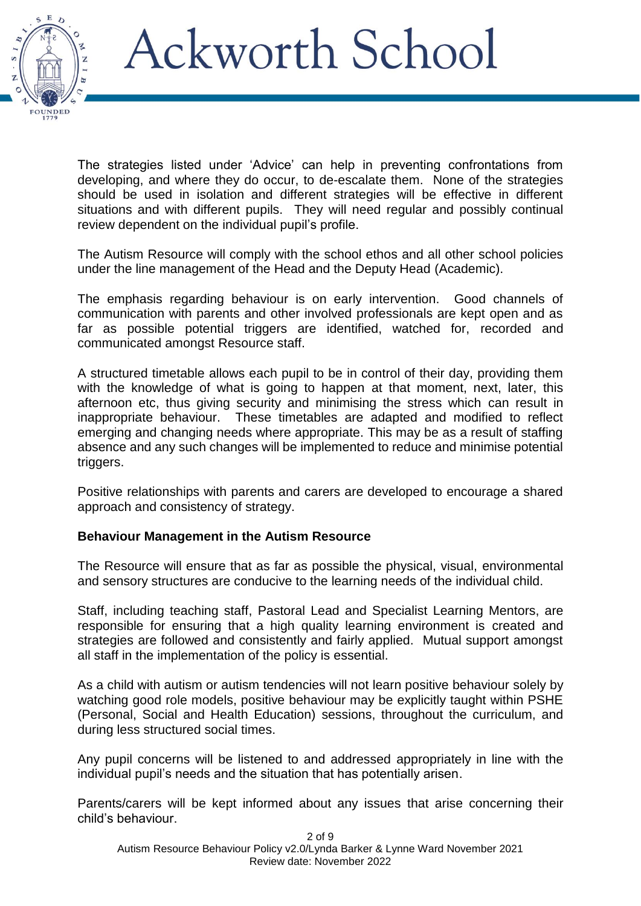

The strategies listed under 'Advice' can help in preventing confrontations from developing, and where they do occur, to de-escalate them. None of the strategies should be used in isolation and different strategies will be effective in different situations and with different pupils. They will need regular and possibly continual review dependent on the individual pupil's profile.

The Autism Resource will comply with the school ethos and all other school policies under the line management of the Head and the Deputy Head (Academic).

The emphasis regarding behaviour is on early intervention. Good channels of communication with parents and other involved professionals are kept open and as far as possible potential triggers are identified, watched for, recorded and communicated amongst Resource staff.

A structured timetable allows each pupil to be in control of their day, providing them with the knowledge of what is going to happen at that moment, next, later, this afternoon etc, thus giving security and minimising the stress which can result in inappropriate behaviour. These timetables are adapted and modified to reflect emerging and changing needs where appropriate. This may be as a result of staffing absence and any such changes will be implemented to reduce and minimise potential triggers.

Positive relationships with parents and carers are developed to encourage a shared approach and consistency of strategy.

#### **Behaviour Management in the Autism Resource**

The Resource will ensure that as far as possible the physical, visual, environmental and sensory structures are conducive to the learning needs of the individual child.

Staff, including teaching staff, Pastoral Lead and Specialist Learning Mentors, are responsible for ensuring that a high quality learning environment is created and strategies are followed and consistently and fairly applied. Mutual support amongst all staff in the implementation of the policy is essential.

As a child with autism or autism tendencies will not learn positive behaviour solely by watching good role models, positive behaviour may be explicitly taught within PSHE (Personal, Social and Health Education) sessions, throughout the curriculum, and during less structured social times.

Any pupil concerns will be listened to and addressed appropriately in line with the individual pupil's needs and the situation that has potentially arisen.

Parents/carers will be kept informed about any issues that arise concerning their child's behaviour.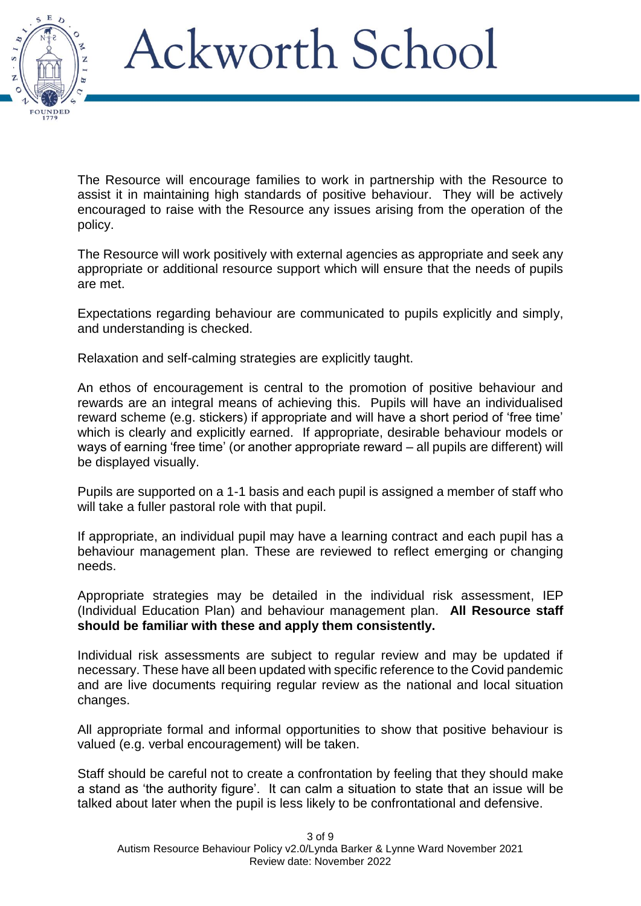

The Resource will encourage families to work in partnership with the Resource to assist it in maintaining high standards of positive behaviour. They will be actively encouraged to raise with the Resource any issues arising from the operation of the policy.

The Resource will work positively with external agencies as appropriate and seek any appropriate or additional resource support which will ensure that the needs of pupils are met.

Expectations regarding behaviour are communicated to pupils explicitly and simply, and understanding is checked.

Relaxation and self-calming strategies are explicitly taught.

An ethos of encouragement is central to the promotion of positive behaviour and rewards are an integral means of achieving this. Pupils will have an individualised reward scheme (e.g. stickers) if appropriate and will have a short period of 'free time' which is clearly and explicitly earned. If appropriate, desirable behaviour models or ways of earning 'free time' (or another appropriate reward – all pupils are different) will be displayed visually.

Pupils are supported on a 1-1 basis and each pupil is assigned a member of staff who will take a fuller pastoral role with that pupil.

If appropriate, an individual pupil may have a learning contract and each pupil has a behaviour management plan. These are reviewed to reflect emerging or changing needs.

Appropriate strategies may be detailed in the individual risk assessment, IEP (Individual Education Plan) and behaviour management plan. **All Resource staff should be familiar with these and apply them consistently.**

Individual risk assessments are subject to regular review and may be updated if necessary. These have all been updated with specific reference to the Covid pandemic and are live documents requiring regular review as the national and local situation changes.

All appropriate formal and informal opportunities to show that positive behaviour is valued (e.g. verbal encouragement) will be taken.

Staff should be careful not to create a confrontation by feeling that they should make a stand as 'the authority figure'. It can calm a situation to state that an issue will be talked about later when the pupil is less likely to be confrontational and defensive.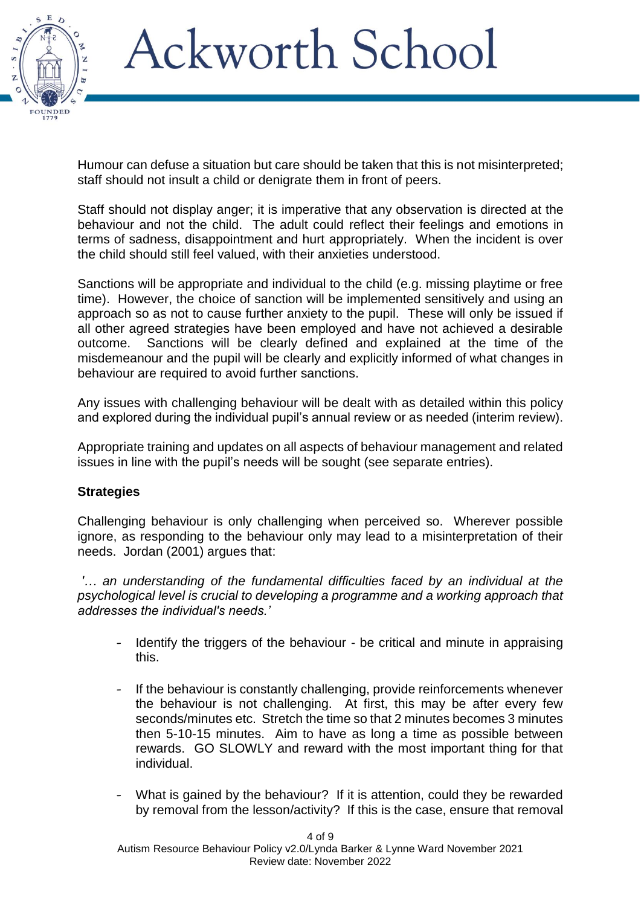

Humour can defuse a situation but care should be taken that this is not misinterpreted; staff should not insult a child or denigrate them in front of peers.

Staff should not display anger; it is imperative that any observation is directed at the behaviour and not the child. The adult could reflect their feelings and emotions in terms of sadness, disappointment and hurt appropriately. When the incident is over the child should still feel valued, with their anxieties understood.

Sanctions will be appropriate and individual to the child (e.g. missing playtime or free time). However, the choice of sanction will be implemented sensitively and using an approach so as not to cause further anxiety to the pupil. These will only be issued if all other agreed strategies have been employed and have not achieved a desirable outcome. Sanctions will be clearly defined and explained at the time of the misdemeanour and the pupil will be clearly and explicitly informed of what changes in behaviour are required to avoid further sanctions.

Any issues with challenging behaviour will be dealt with as detailed within this policy and explored during the individual pupil's annual review or as needed (interim review).

Appropriate training and updates on all aspects of behaviour management and related issues in line with the pupil's needs will be sought (see separate entries).

#### **Strategies**

Challenging behaviour is only challenging when perceived so. Wherever possible ignore, as responding to the behaviour only may lead to a misinterpretation of their needs. Jordan (2001) argues that:

*'… an understanding of the fundamental difficulties faced by an individual at the psychological level is crucial to developing a programme and a working approach that addresses the individual's needs.'*

- Identify the triggers of the behaviour be critical and minute in appraising this.
- If the behaviour is constantly challenging, provide reinforcements whenever the behaviour is not challenging. At first, this may be after every few seconds/minutes etc. Stretch the time so that 2 minutes becomes 3 minutes then 5-10-15 minutes. Aim to have as long a time as possible between rewards. GO SLOWLY and reward with the most important thing for that individual.
- What is gained by the behaviour? If it is attention, could they be rewarded by removal from the lesson/activity? If this is the case, ensure that removal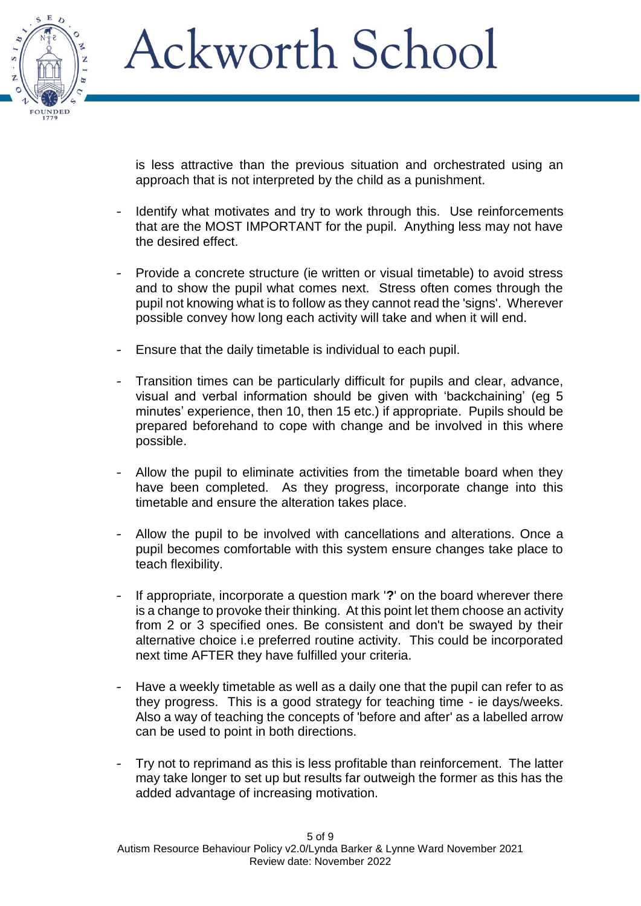

is less attractive than the previous situation and orchestrated using an approach that is not interpreted by the child as a punishment.

- Identify what motivates and try to work through this. Use reinforcements that are the MOST IMPORTANT for the pupil. Anything less may not have the desired effect.
- Provide a concrete structure (ie written or visual timetable) to avoid stress and to show the pupil what comes next. Stress often comes through the pupil not knowing what is to follow as they cannot read the 'signs'. Wherever possible convey how long each activity will take and when it will end.
- Ensure that the daily timetable is individual to each pupil.
- Transition times can be particularly difficult for pupils and clear, advance, visual and verbal information should be given with 'backchaining' (eg 5 minutes' experience, then 10, then 15 etc.) if appropriate. Pupils should be prepared beforehand to cope with change and be involved in this where possible.
- Allow the pupil to eliminate activities from the timetable board when they have been completed. As they progress, incorporate change into this timetable and ensure the alteration takes place.
- Allow the pupil to be involved with cancellations and alterations. Once a pupil becomes comfortable with this system ensure changes take place to teach flexibility.
- If appropriate, incorporate a question mark '**?**' on the board wherever there is a change to provoke their thinking. At this point let them choose an activity from 2 or 3 specified ones. Be consistent and don't be swayed by their alternative choice i.e preferred routine activity. This could be incorporated next time AFTER they have fulfilled your criteria.
- Have a weekly timetable as well as a daily one that the pupil can refer to as they progress. This is a good strategy for teaching time - ie days/weeks. Also a way of teaching the concepts of 'before and after' as a labelled arrow can be used to point in both directions.
- Try not to reprimand as this is less profitable than reinforcement. The latter may take longer to set up but results far outweigh the former as this has the added advantage of increasing motivation.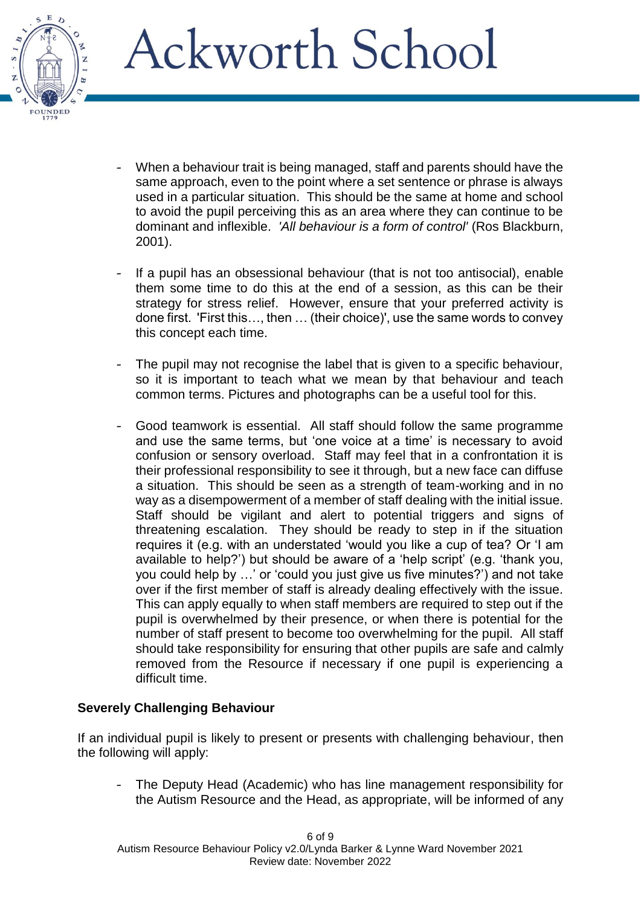

- When a behaviour trait is being managed, staff and parents should have the same approach, even to the point where a set sentence or phrase is always used in a particular situation. This should be the same at home and school to avoid the pupil perceiving this as an area where they can continue to be dominant and inflexible. *'All behaviour is a form of control'* (Ros Blackburn, 2001).
- If a pupil has an obsessional behaviour (that is not too antisocial), enable them some time to do this at the end of a session, as this can be their strategy for stress relief. However, ensure that your preferred activity is done first. 'First this…, then … (their choice)', use the same words to convey this concept each time.
- The pupil may not recognise the label that is given to a specific behaviour, so it is important to teach what we mean by that behaviour and teach common terms. Pictures and photographs can be a useful tool for this.
- Good teamwork is essential. All staff should follow the same programme and use the same terms, but 'one voice at a time' is necessary to avoid confusion or sensory overload. Staff may feel that in a confrontation it is their professional responsibility to see it through, but a new face can diffuse a situation. This should be seen as a strength of team-working and in no way as a disempowerment of a member of staff dealing with the initial issue. Staff should be vigilant and alert to potential triggers and signs of threatening escalation. They should be ready to step in if the situation requires it (e.g. with an understated 'would you like a cup of tea? Or 'I am available to help?') but should be aware of a 'help script' (e.g. 'thank you, you could help by …' or 'could you just give us five minutes?') and not take over if the first member of staff is already dealing effectively with the issue. This can apply equally to when staff members are required to step out if the pupil is overwhelmed by their presence, or when there is potential for the number of staff present to become too overwhelming for the pupil. All staff should take responsibility for ensuring that other pupils are safe and calmly removed from the Resource if necessary if one pupil is experiencing a difficult time.

#### **Severely Challenging Behaviour**

If an individual pupil is likely to present or presents with challenging behaviour, then the following will apply:

- The Deputy Head (Academic) who has line management responsibility for the Autism Resource and the Head, as appropriate, will be informed of any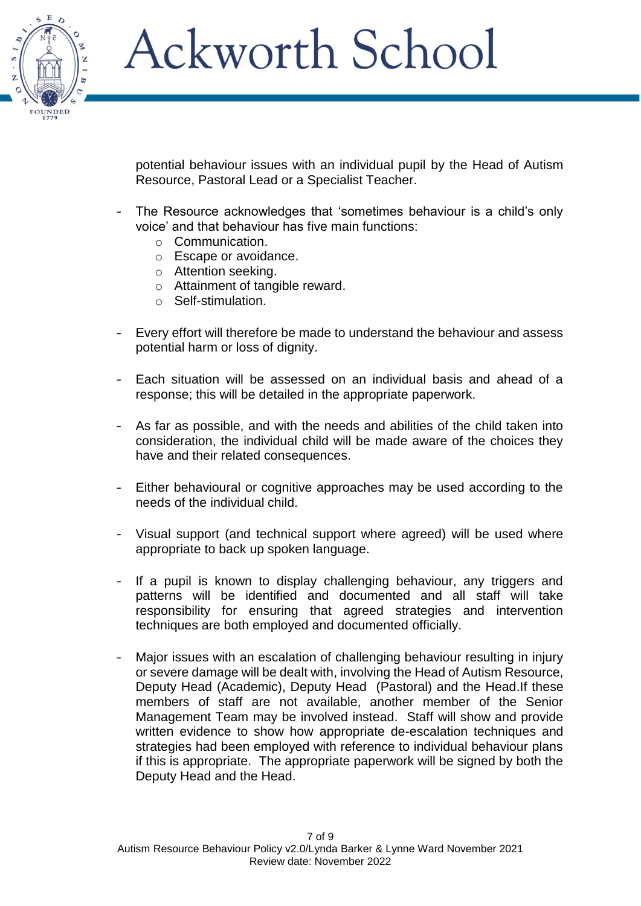

potential behaviour issues with an individual pupil by the Head of Autism Resource, Pastoral Lead or a Specialist Teacher.

- The Resource acknowledges that 'sometimes behaviour is a child's only voice' and that behaviour has five main functions:
	- o Communication.
	- o Escape or avoidance.
	- o Attention seeking.
	- o Attainment of tangible reward.
	- o Self-stimulation.
- Every effort will therefore be made to understand the behaviour and assess potential harm or loss of dignity.
- Each situation will be assessed on an individual basis and ahead of a response; this will be detailed in the appropriate paperwork.
- As far as possible, and with the needs and abilities of the child taken into consideration, the individual child will be made aware of the choices they have and their related consequences.
- Either behavioural or cognitive approaches may be used according to the needs of the individual child.
- Visual support (and technical support where agreed) will be used where appropriate to back up spoken language.
- If a pupil is known to display challenging behaviour, any triggers and patterns will be identified and documented and all staff will take responsibility for ensuring that agreed strategies and intervention techniques are both employed and documented officially.
- Major issues with an escalation of challenging behaviour resulting in injury or severe damage will be dealt with, involving the Head of Autism Resource, Deputy Head (Academic), Deputy Head (Pastoral) and the Head.If these members of staff are not available, another member of the Senior Management Team may be involved instead. Staff will show and provide written evidence to show how appropriate de-escalation techniques and strategies had been employed with reference to individual behaviour plans if this is appropriate. The appropriate paperwork will be signed by both the Deputy Head and the Head.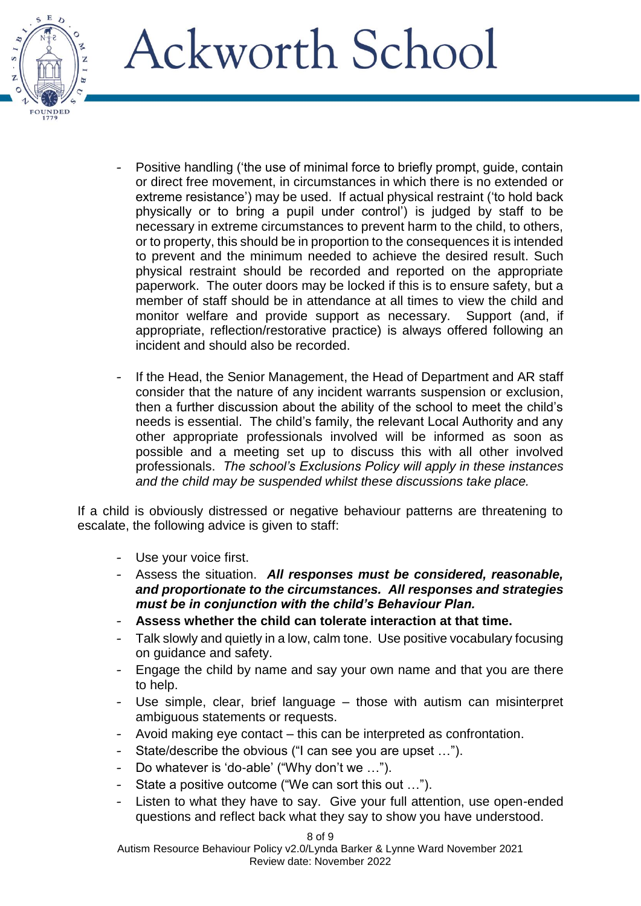

- Positive handling ('the use of minimal force to briefly prompt, guide, contain or direct free movement, in circumstances in which there is no extended or extreme resistance') may be used. If actual physical restraint ('to hold back physically or to bring a pupil under control') is judged by staff to be necessary in extreme circumstances to prevent harm to the child, to others, or to property, this should be in proportion to the consequences it is intended to prevent and the minimum needed to achieve the desired result. Such physical restraint should be recorded and reported on the appropriate paperwork. The outer doors may be locked if this is to ensure safety, but a member of staff should be in attendance at all times to view the child and monitor welfare and provide support as necessary. Support (and, if appropriate, reflection/restorative practice) is always offered following an incident and should also be recorded.
- If the Head, the Senior Management, the Head of Department and AR staff consider that the nature of any incident warrants suspension or exclusion, then a further discussion about the ability of the school to meet the child's needs is essential. The child's family, the relevant Local Authority and any other appropriate professionals involved will be informed as soon as possible and a meeting set up to discuss this with all other involved professionals. *The school's Exclusions Policy will apply in these instances and the child may be suspended whilst these discussions take place.*

If a child is obviously distressed or negative behaviour patterns are threatening to escalate, the following advice is given to staff:

- Use your voice first.
- Assess the situation. *All responses must be considered, reasonable, and proportionate to the circumstances. All responses and strategies must be in conjunction with the child's Behaviour Plan.*
- **Assess whether the child can tolerate interaction at that time.**
- Talk slowly and quietly in a low, calm tone. Use positive vocabulary focusing on guidance and safety.
- Engage the child by name and say your own name and that you are there to help.
- Use simple, clear, brief language those with autism can misinterpret ambiguous statements or requests.
- Avoid making eye contact this can be interpreted as confrontation.
- State/describe the obvious ("I can see you are upset ...").
- Do whatever is 'do-able' ("Why don't we ...").
- State a positive outcome ("We can sort this out ...").
- Listen to what they have to say. Give your full attention, use open-ended questions and reflect back what they say to show you have understood.

#### 8 of 9

Autism Resource Behaviour Policy v2.0/Lynda Barker & Lynne Ward November 2021 Review date: November 2022